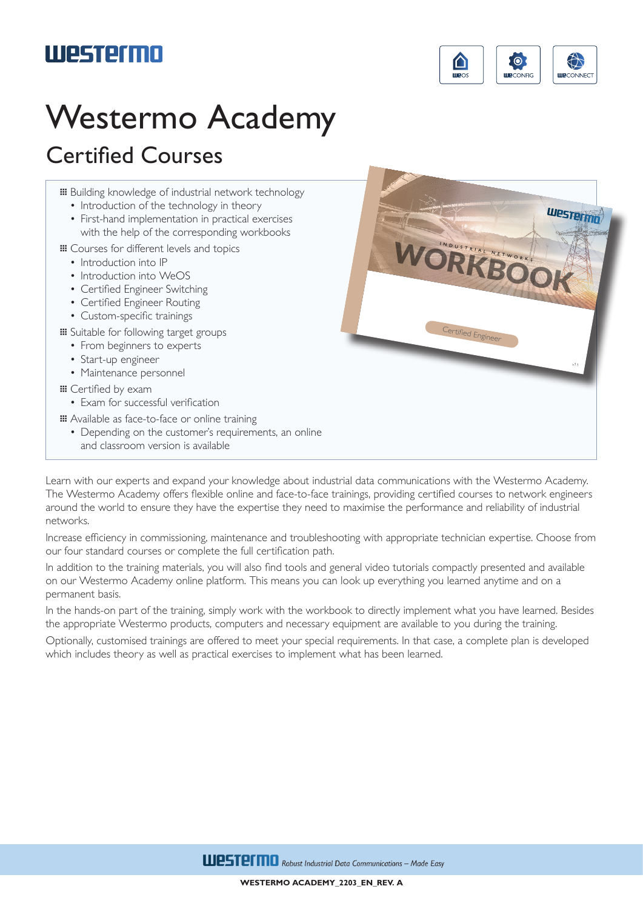## **Westermo**



## Westermo Academy

## Certified Courses

- … Building knowledge of industrial network technology
	- Introduction of the technology in theory
	- First-hand implementation in practical exercises with the help of the corresponding workbooks
- … Courses for different levels and topics
	- Introduction into IP
	- Introduction into WeOS
	- Certified Engineer Switching
	- Certified Engineer Routing
	- Custom-specific trainings
- … Suitable for following target groups
	- From beginners to experts
	- Start-up engineer
	- Maintenance personnel
- … Certified by exam
	- Exam for successful verification
- … Available as face-to-face or online training
	- Depending on the customer's requirements, an online and classroom version is available



Learn with our experts and expand your knowledge about industrial data communications with the Westermo Academy. The Westermo Academy offers flexible online and face-to-face trainings, providing certified courses to network engineers around the world to ensure they have the expertise they need to maximise the performance and reliability of industrial networks.

Increase efficiency in commissioning, maintenance and troubleshooting with appropriate technician expertise. Choose from our four standard courses or complete the full certification path.

In addition to the training materials, you will also find tools and general video tutorials compactly presented and available on our Westermo Academy online platform. This means you can look up everything you learned anytime and on a permanent basis.

In the hands-on part of the training, simply work with the workbook to directly implement what you have learned. Besides the appropriate Westermo products, computers and necessary equipment are available to you during the training.

Optionally, customised trainings are offered to meet your special requirements. In that case, a complete plan is developed which includes theory as well as practical exercises to implement what has been learned.